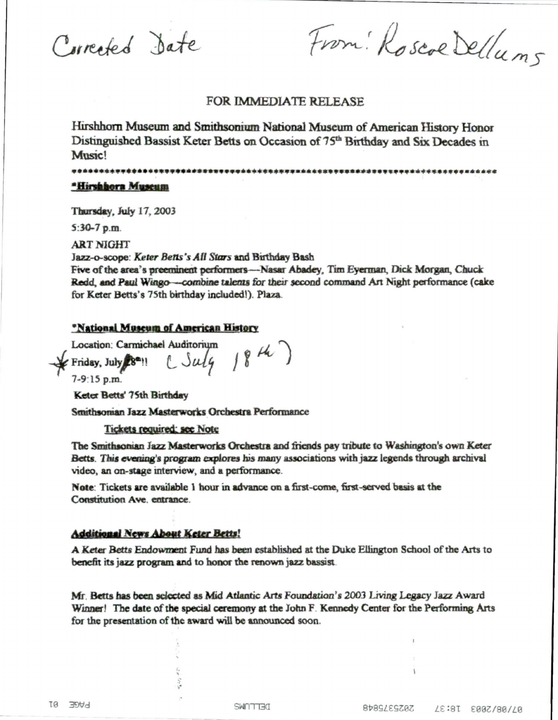Corrected Date

From: Roscoe Delluns

## FOR IMMEDIATE RELEASE

Hirshhorn Museum and Smithsonium National Museum of American History Honor Distinguished Bassist Keter Betts on Occasion of 75<sup>th</sup> Birthday and Six Decades in Music!

\*\*\*\*\*\*\*\*\*\*\*\*\* 

## \*Hirshhorn Museum

Thursday, July 17, 2003

 $5:30-7$  p.m.

**ART NIGHT** 

Jazz-o-scope: Keter Betts's All Stars and Birthday Bash

Five of the area's preeminent performers-Nasar Abadey, Tim Everman, Dick Morgan, Chuck Redd, and Paul Wingo—combine talents for their second command Art Night performance (cake for Keter Betts's 75th birthday included!). Plaza.

## \*National Museum of American History

Location: Carmichael Auditorium  $CSu\overline{lg}$  18 th) Friday, July 28<sup>m</sup>!!

7-9:15 p.m.

Keter Betts' 75th Birthday

Smithsonian Jazz Masterworks Orchestra Performance

**Tickets required: see Note** 

The Smithsonian Jazz Masterworks Orchestra and friends pay tribute to Washington's own Keter Betts. This evening's program explores his many associations with jazz legends through archival video, an on-stage interview, and a performance.

Note: Tickets are available 1 hour in advance on a first-come, first-served basis at the Constitution Ave entrance

## **Additional News About Keter Betts!**

A Keter Betts Endowment Fund has been established at the Duke Ellington School of the Arts to benefit its jazz program and to honor the renown jazz bassist.

Mr. Betts has been selected as Mid Atlantic Arts Foundation's 2003 Living Legacy Jazz Award Winner! The date of the special ceremony at the John F. Kennedy Center for the Performing Arts for the presentation of the award will be announced soon.